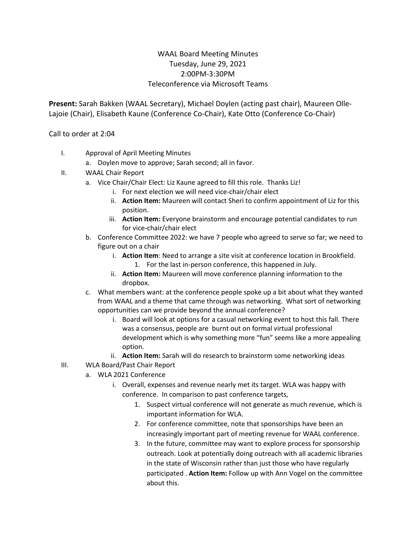## WAAL Board Meeting Minutes Tuesday, June 29, 2021 2:00PM-3:30PM Teleconference via Microsoft Teams

**Present:** Sarah Bakken (WAAL Secretary), Michael Doylen (acting past chair), Maureen Olle-Lajoie (Chair), Elisabeth Kaune (Conference Co-Chair), Kate Otto (Conference Co-Chair)

Call to order at 2:04

- I. Approval of April Meeting Minutes
	- a. Doylen move to approve; Sarah second; all in favor.
- II. WAAL Chair Report
	- a. Vice Chair/Chair Elect: Liz Kaune agreed to fill this role. Thanks Liz!
		- i. For next election we will need vice-chair/chair elect
		- ii. **Action Item:** Maureen will contact Sheri to confirm appointment of Liz for this position.
		- iii. **Action Item:** Everyone brainstorm and encourage potential candidates to run for vice-chair/chair elect
	- b. Conference Committee 2022: we have 7 people who agreed to serve so far; we need to figure out on a chair
		- i. **Action Item**: Need to arrange a site visit at conference location in Brookfield.
			- 1. For the last in-person conference, this happened in July.
		- ii. **Action Item:** Maureen will move conference planning information to the dropbox.
	- c. What members want: at the conference people spoke up a bit about what they wanted from WAAL and a theme that came through was networking. What sort of networking opportunities can we provide beyond the annual conference?
		- i. Board will look at options for a casual networking event to host this fall. There was a consensus, people are burnt out on formal virtual professional development which is why something more "fun" seems like a more appealing option.
		- ii. **Action Item:** Sarah will do research to brainstorm some networking ideas
- III. WLA Board/Past Chair Report
	- a. WLA 2021 Conference
		- i. Overall, expenses and revenue nearly met its target. WLA was happy with conference. In comparison to past conference targets,
			- 1. Suspect virtual conference will not generate as much revenue, which is important information for WLA.
			- 2. For conference committee, note that sponsorships have been an increasingly important part of meeting revenue for WAAL conference.
			- 3. In the future, committee may want to explore process for sponsorship outreach. Look at potentially doing outreach with all academic libraries in the state of Wisconsin rather than just those who have regularly participated . **Action Item:** Follow up with Ann Vogel on the committee about this.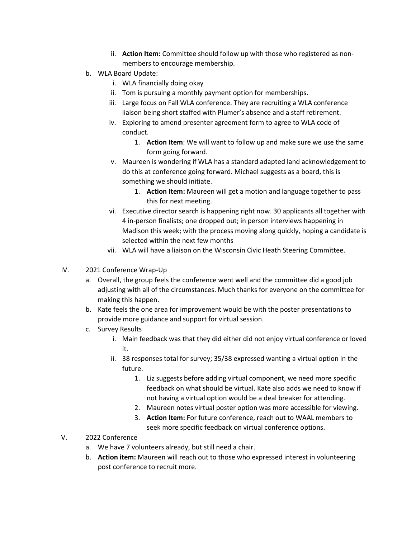- ii. **Action Item:** Committee should follow up with those who registered as nonmembers to encourage membership.
- b. WLA Board Update:
	- i. WLA financially doing okay
	- ii. Tom is pursuing a monthly payment option for memberships.
	- iii. Large focus on Fall WLA conference. They are recruiting a WLA conference liaison being short staffed with Plumer's absence and a staff retirement.
	- iv. Exploring to amend presenter agreement form to agree to WLA code of conduct.
		- 1. **Action Item**: We will want to follow up and make sure we use the same form going forward.
	- v. Maureen is wondering if WLA has a standard adapted land acknowledgement to do this at conference going forward. Michael suggests as a board, this is something we should initiate.
		- 1. **Action Item:** Maureen will get a motion and language together to pass this for next meeting.
	- vi. Executive director search is happening right now. 30 applicants all together with 4 in-person finalists; one dropped out; in person interviews happening in Madison this week; with the process moving along quickly, hoping a candidate is selected within the next few months
	- vii. WLA will have a liaison on the Wisconsin Civic Heath Steering Committee.
- IV. 2021 Conference Wrap-Up
	- a. Overall, the group feels the conference went well and the committee did a good job adjusting with all of the circumstances. Much thanks for everyone on the committee for making this happen.
	- b. Kate feels the one area for improvement would be with the poster presentations to provide more guidance and support for virtual session.
	- c. Survey Results
		- i. Main feedback was that they did either did not enjoy virtual conference or loved it.
		- ii. 38 responses total for survey; 35/38 expressed wanting a virtual option in the future.
			- 1. Liz suggests before adding virtual component, we need more specific feedback on what should be virtual. Kate also adds we need to know if not having a virtual option would be a deal breaker for attending.
			- 2. Maureen notes virtual poster option was more accessible for viewing.
			- 3. **Action Item:** For future conference, reach out to WAAL members to seek more specific feedback on virtual conference options.
- V. 2022 Conference
	- a. We have 7 volunteers already, but still need a chair.
	- b. **Action item:** Maureen will reach out to those who expressed interest in volunteering post conference to recruit more.